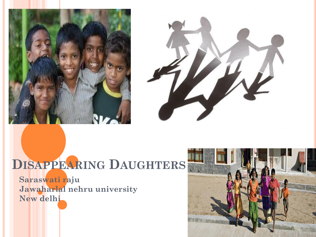



# **DISAPPEARING DAUGHTERS**

**Saraswati raju Jawaharlal nehru university New delhi** 

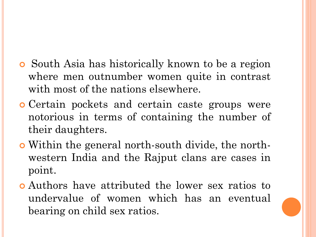- South Asia has historically known to be a region where men outnumber women quite in contrast with most of the nations elsewhere.
- Certain pockets and certain caste groups were notorious in terms of containing the number of their daughters.
- Within the general north-south divide, the northwestern India and the Rajput clans are cases in point.
- Authors have attributed the lower sex ratios to undervalue of women which has an eventual bearing on child sex ratios.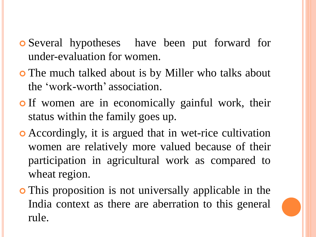- Several hypotheses have been put forward for under-evaluation for women.
- The much talked about is by Miller who talks about the 'work-worth' association.
- **o** If women are in economically gainful work, their status within the family goes up.
- Accordingly, it is argued that in wet-rice cultivation women are relatively more valued because of their participation in agricultural work as compared to wheat region.
- This proposition is not universally applicable in the India context as there are aberration to this general rule.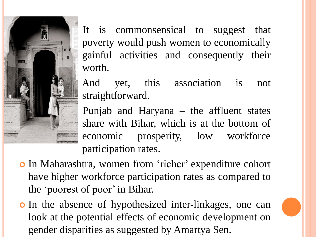It is commonsensical to suggest that poverty would push women to economically gainful activities and consequently their worth.

 And yet, this association is not straightforward.

 Punjab and Haryana – the affluent states share with Bihar, which is at the bottom of economic prosperity, low workforce participation rates.

o In Maharashtra, women from 'richer' expenditure cohort have higher workforce participation rates as compared to the 'poorest of poor' in Bihar.

i.

 In the absence of hypothesized inter-linkages, one can look at the potential effects of economic development on gender disparities as suggested by Amartya Sen.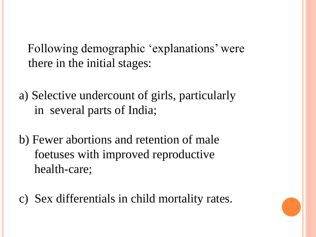Following demographic 'explanations' were there in the initial stages:

a) Selective undercount of girls, particularly in several parts of India;

b) Fewer abortions and retention of male foetuses with improved reproductive health-care;

c) Sex differentials in child mortality rates.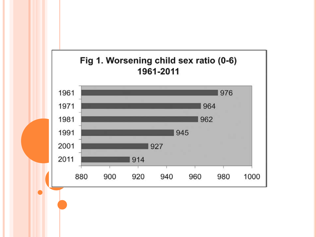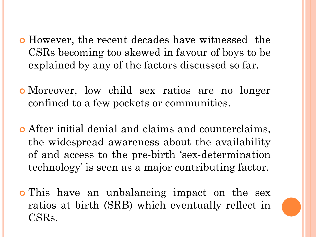- However, the recent decades have witnessed the CSRs becoming too skewed in favour of boys to be explained by any of the factors discussed so far.
- Moreover, low child sex ratios are no longer confined to a few pockets or communities.
- After initial denial and claims and counterclaims, the widespread awareness about the availability of and access to the pre-birth 'sex-determination technology' is seen as a major contributing factor.
- o This have an unbalancing impact on the sex ratios at birth (SRB) which eventually reflect in CSRs.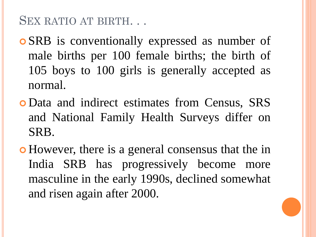### SEX RATIO AT BIRTH. . .

- SRB is conventionally expressed as number of male births per 100 female births; the birth of 105 boys to 100 girls is generally accepted as normal.
- Data and indirect estimates from Census, SRS and National Family Health Surveys differ on SRB.
- However, there is a general consensus that the in India SRB has progressively become more masculine in the early 1990s, declined somewhat and risen again after 2000.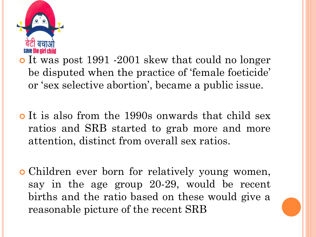

o It was post 1991 -2001 skew that could no longer be disputed when the practice of 'female foeticide' or 'sex selective abortion', became a public issue.

- o It is also from the 1990s onwards that child sex ratios and SRB started to grab more and more attention, distinct from overall sex ratios.
- Children ever born for relatively young women, say in the age group 20-29, would be recent births and the ratio based on these would give a reasonable picture of the recent SRB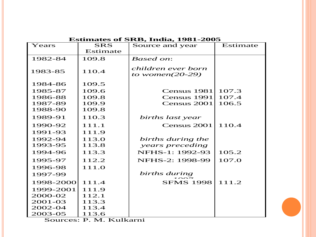#### **Estimates of SRB, India, 1981-2005**

| <b>Esumates of SRB, India, 1981-2005</b> |            |                                          |          |  |  |  |  |  |  |  |
|------------------------------------------|------------|------------------------------------------|----------|--|--|--|--|--|--|--|
| Years                                    | <b>SRS</b> | Source and year                          | Estimate |  |  |  |  |  |  |  |
|                                          | Estimate   |                                          |          |  |  |  |  |  |  |  |
| 1982-84                                  | 109.8      | <b>Based on:</b>                         |          |  |  |  |  |  |  |  |
| 1983-85                                  | 110.4      | children ever born<br>to women $(20-29)$ |          |  |  |  |  |  |  |  |
| 1984-86                                  | 109.5      |                                          |          |  |  |  |  |  |  |  |
| 1985-87                                  | 109.6      | Census 1981                              | 107.3    |  |  |  |  |  |  |  |
| 1986-88                                  | 109.8      | Census 1991                              | 107.4    |  |  |  |  |  |  |  |
| 1987-89                                  | 109.9      | Census 2001                              | 106.5    |  |  |  |  |  |  |  |
| 1988-90                                  | 109.8      |                                          |          |  |  |  |  |  |  |  |
| 1989-91                                  | 110.3      | births last year                         |          |  |  |  |  |  |  |  |
| 1990-92                                  | 111.1      | Census 2001                              | 110.4    |  |  |  |  |  |  |  |
| 1991-93                                  | 111.9      |                                          |          |  |  |  |  |  |  |  |
| 1992-94                                  | 113.0      | births during the                        |          |  |  |  |  |  |  |  |
| 1993-95                                  | 113.8      | years preceding                          |          |  |  |  |  |  |  |  |
| 1994-96                                  | 113.3      | NFHS-1: 1992-93                          | 105.2    |  |  |  |  |  |  |  |
| 1995-97                                  | 112.2      | NFHS-2: 1998-99                          | 107.0    |  |  |  |  |  |  |  |
| 1996-98                                  | 111.O      |                                          |          |  |  |  |  |  |  |  |
| 1997-99                                  |            | births during                            |          |  |  |  |  |  |  |  |
| 1998-2000                                | 111.4      | <b>SFMS 1998</b>                         | 111.2    |  |  |  |  |  |  |  |
| 1999-2001                                | 111.9      |                                          |          |  |  |  |  |  |  |  |
| 2000-02                                  | 112.1      |                                          |          |  |  |  |  |  |  |  |
| 2001-03                                  | 113.3      |                                          |          |  |  |  |  |  |  |  |
| 2002-04                                  | 113.4      |                                          |          |  |  |  |  |  |  |  |
| 2003-05                                  | 113.6      |                                          |          |  |  |  |  |  |  |  |

Sources: P. M. Kulkarni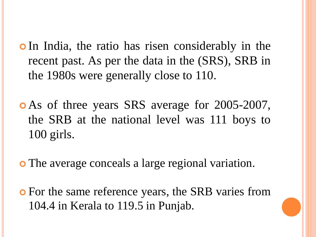- **o**In India, the ratio has risen considerably in the recent past. As per the data in the (SRS), SRB in the 1980s were generally close to 110.
- As of three years SRS average for 2005-2007, the SRB at the national level was 111 boys to 100 girls.
- The average conceals a large regional variation.
- For the same reference years, the SRB varies from 104.4 in Kerala to 119.5 in Punjab.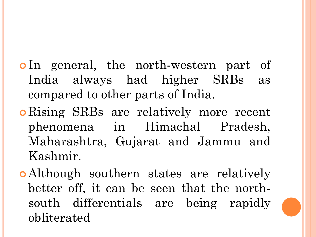- o In general, the north-western part of India always had higher SRBs as compared to other parts of India.
- **o** Rising SRBs are relatively more recent phenomena in Himachal Pradesh, Maharashtra, Gujarat and Jammu and Kashmir.
- Although southern states are relatively better off, it can be seen that the northsouth differentials are being rapidly obliterated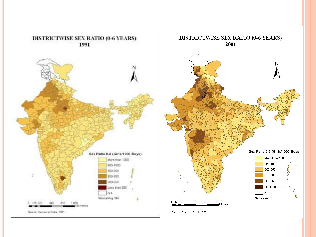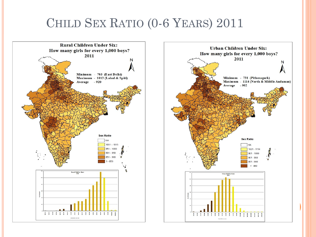# CHILD SEX RATIO (0-6 YEARS) 2011



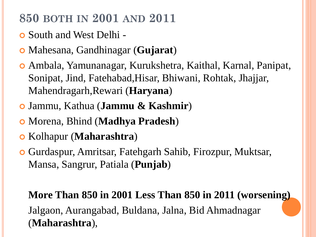# **850 BOTH IN 2001 AND 2011**

- South and West Delhi -
- Mahesana, Gandhinagar (**Gujarat**)
- Ambala, Yamunanagar, Kurukshetra, Kaithal, Karnal, Panipat, Sonipat, Jind, Fatehabad,Hisar, Bhiwani, Rohtak, Jhajjar, Mahendragarh,Rewari (**Haryana**)
- Jammu, Kathua (**Jammu & Kashmir**)
- Morena, Bhind (**Madhya Pradesh**)
- Kolhapur (**Maharashtra**)
- Gurdaspur, Amritsar, Fatehgarh Sahib, Firozpur, Muktsar, Mansa, Sangrur, Patiala (**Punjab**)

# **More Than 850 in 2001 Less Than 850 in 2011 (worsening)**  Jalgaon, Aurangabad, Buldana, Jalna, Bid Ahmadnagar (**Maharashtra**),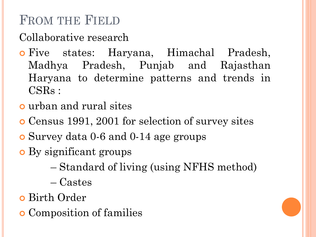# FROM THE FIELD

Collaborative research

- **o** Five states: Haryana, Himachal Pradesh, Madhya Pradesh, Punjab and Rajasthan Haryana to determine patterns and trends in CSRs :
- urban and rural sites
- Census 1991, 2001 for selection of survey sites
- Survey data 0-6 and 0-14 age groups
- By significant groups
	- Standard of living (using NFHS method)
	- Castes
- Birth Order
- Composition of families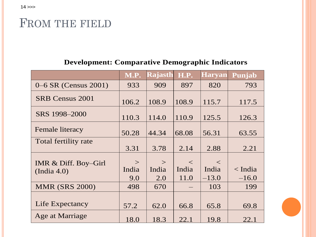### FROM THE FIELD

#### **Development: Comparative Demographic Indicators**

|                                     | <b>M.P.</b>     | <b>Rajasth</b>  | <b>H.P.</b>    | <b>Haryan</b>  | Punjab          |
|-------------------------------------|-----------------|-----------------|----------------|----------------|-----------------|
| 0–6 SR (Census 2001)                | 933             | 909             | 897            | 820            | 793             |
| SRB Census 2001                     | 106.2           | 108.9           | 108.9          | 115.7          | 117.5           |
| SRS 1998-2000                       | 110.3           | 114.0           | 110.9          | 125.5          | 126.3           |
| <b>Female literacy</b>              | 50.28           | 44.34           | 68.08          | 56.31          | 63.55           |
| Total fertility rate                | 3.31            | 3.78            | 2.14           | 2.88           | 2.21            |
| IMR & Diff. Boy-Girl<br>(India 4.0) | $\geq$<br>India | $\geq$<br>India | $\lt$<br>India | $\lt$<br>India | $\langle$ India |
|                                     | 9.0             | 2.0             | 11.0           | $-13.0$        | $-16.0$         |
| <b>MMR (SRS 2000)</b>               | 498             | 670             |                | 103            | 199             |
| Life Expectancy                     | 57.2            | 62.0            | 66.8           | 65.8           | 69.8            |
| Age at Marriage                     | 18.0            | 18.3            | 22.1           | 19.8           | 22.1            |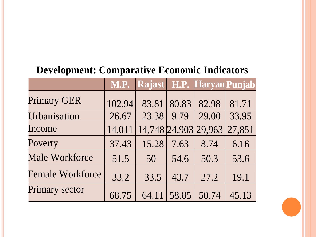#### **Development: Comparative Economic Indicators**

|                         |        | M.P. Rajast H.P. Haryan Punjab |       |       |        |
|-------------------------|--------|--------------------------------|-------|-------|--------|
| <b>Primary GER</b>      | 102.94 | 83.81                          | 80.83 | 82.98 | 81.71  |
| Urbanisation            | 26.67  | 23.38                          | 9.79  | 29.00 | 33.95  |
| Income                  | 14,011 | 14,748 24,903 29,963           |       |       | 27,851 |
| Poverty                 | 37.43  | 15.28                          | 7.63  | 8.74  | 6.16   |
| <b>Male Workforce</b>   | 51.5   | 50                             | 54.6  | 50.3  | 53.6   |
| <b>Female Workforce</b> | 33.2   | 33.5                           | 43.7  | 27.2  | 19.1   |
| <b>Primary sector</b>   | 68.75  | 64.11                          | 58.85 | 50.74 | 45.13  |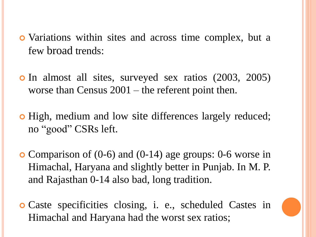- Variations within sites and across time complex, but a few broad trends:
- **o** In almost all sites, surveyed sex ratios (2003, 2005) worse than Census 2001 – the referent point then.
- High, medium and low site differences largely reduced; no "good" CSRs left.
- Comparison of (0-6) and (0-14) age groups: 0-6 worse in Himachal, Haryana and slightly better in Punjab. In M. P. and Rajasthan 0-14 also bad, long tradition.
- Caste specificities closing, i. e., scheduled Castes in Himachal and Haryana had the worst sex ratios;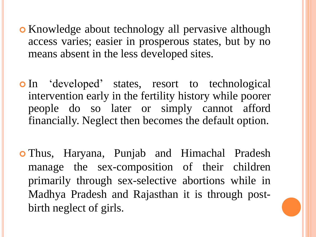- **o** Knowledge about technology all pervasive although access varies; easier in prosperous states, but by no means absent in the less developed sites.
- In "developed" states, resort to technological intervention early in the fertility history while poorer people do so later or simply cannot afford financially. Neglect then becomes the default option.
- Thus, Haryana, Punjab and Himachal Pradesh manage the sex-composition of their children primarily through sex-selective abortions while in Madhya Pradesh and Rajasthan it is through postbirth neglect of girls.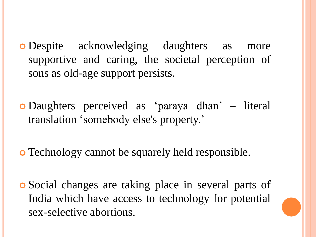- Despite acknowledging daughters as more supportive and caring, the societal perception of sons as old-age support persists.
- Daughters perceived as "paraya dhan" literal translation "somebody else's property."
- Technology cannot be squarely held responsible.
- Social changes are taking place in several parts of India which have access to technology for potential sex-selective abortions.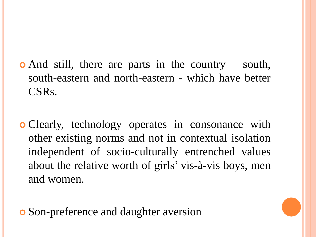- And still, there are parts in the country south, south-eastern and north-eastern - which have better CSRs.
- Clearly, technology operates in consonance with other existing norms and not in contextual isolation independent of socio-culturally entrenched values about the relative worth of girls' vis-à-vis boys, men and women.

**o** Son-preference and daughter aversion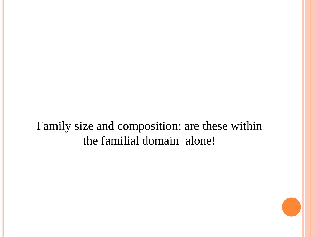Family size and composition: are these within the familial domain alone!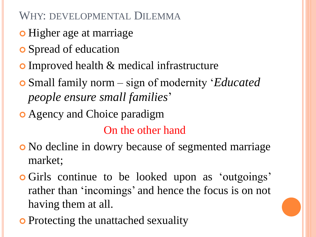WHY: DEVELOPMENTAL DILEMMA

- **o** Higher age at marriage
- **o** Spread of education
- Improved health & medical infrastructure
- Small family norm sign of modernity "*Educated people ensure small families*"
- Agency and Choice paradigm

On the other hand

- No decline in dowry because of segmented marriage market;
- **o** Girls continue to be looked upon as 'outgoings' rather than 'incomings' and hence the focus is on not having them at all.
- **•** Protecting the unattached sexuality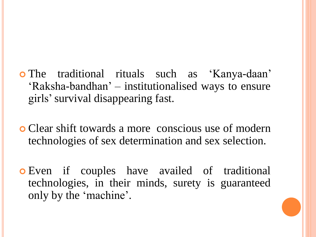- The traditional rituals such as "Kanya-daan" "Raksha-bandhan" – institutionalised ways to ensure girls"survival disappearing fast.
- Clear shift towards a more conscious use of modern technologies of sex determination and sex selection.
- Even if couples have availed of traditional technologies, in their minds, surety is guaranteed only by the 'machine'.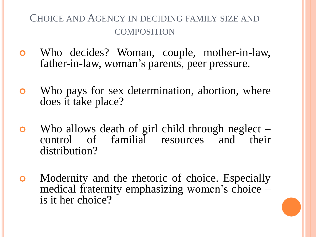#### CHOICE AND AGENCY IN DECIDING FAMILY SIZE AND COMPOSITION

- Who decides? Woman, couple, mother-in-law, father-in-law, woman's parents, peer pressure.
- Who pays for sex determination, abortion, where does it take place?
- Who allows death of girl child through neglect control of familial resources and their distribution?
- Modernity and the rhetoric of choice. Especially medical fraternity emphasizing women's choice – is it her choice?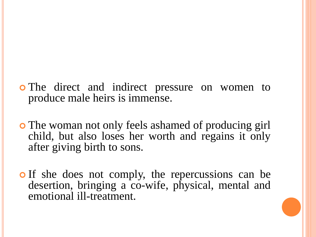- o The direct and indirect pressure on women to produce male heirs is immense.
- The woman not only feels ashamed of producing girl child, but also loses her worth and regains it only after giving birth to sons.
- o If she does not comply, the repercussions can be desertion, bringing a co-wife, physical, mental and emotional ill-treatment.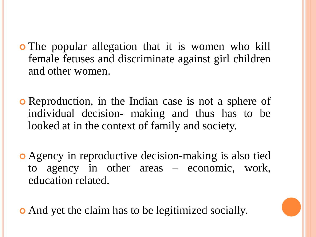- The popular allegation that it is women who kill female fetuses and discriminate against girl children and other women.
- Reproduction, in the Indian case is not a sphere of individual decision- making and thus has to be looked at in the context of family and society.
- Agency in reproductive decision-making is also tied to agency in other areas – economic, work, education related.
- And yet the claim has to be legitimized socially.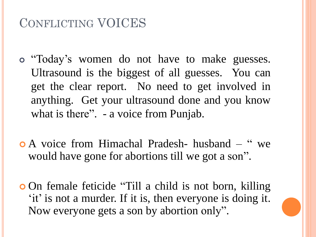# CONFLICTING VOICES

- "Today"s women do not have to make guesses. Ultrasound is the biggest of all guesses. You can get the clear report. No need to get involved in anything. Get your ultrasound done and you know what is there". - a voice from Punjab.
- A voice from Himachal Pradesh- husband " we would have gone for abortions till we got a son".
- **On female feticide "Till a child is not born, killing** 'it' is not a murder. If it is, then everyone is doing it. Now everyone gets a son by abortion only".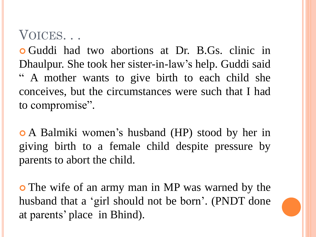# VOICES. . .

 Guddi had two abortions at Dr. B.Gs. clinic in Dhaulpur. She took her sister-in-law's help. Guddi said " A mother wants to give birth to each child she conceives, but the circumstances were such that I had to compromise".

 A Balmiki women"s husband (HP) stood by her in giving birth to a female child despite pressure by parents to abort the child.

 The wife of an army man in MP was warned by the husband that a 'girl should not be born'. (PNDT done at parents' place in Bhind).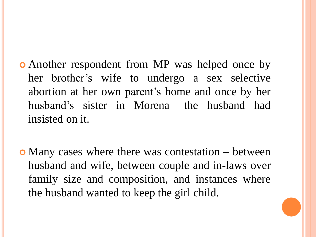- Another respondent from MP was helped once by her brother"s wife to undergo a sex selective abortion at her own parent's home and once by her husband"s sister in Morena– the husband had insisted on it.
- Many cases where there was contestation between husband and wife, between couple and in-laws over family size and composition, and instances where the husband wanted to keep the girl child.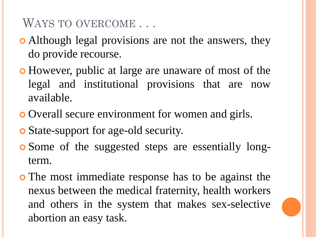WAYS TO OVERCOME . . .

- Although legal provisions are not the answers, they do provide recourse.
- However, public at large are unaware of most of the legal and institutional provisions that are now available.
- Overall secure environment for women and girls.
- State-support for age-old security.
- Some of the suggested steps are essentially longterm.
- The most immediate response has to be against the nexus between the medical fraternity, health workers and others in the system that makes sex-selective abortion an easy task.